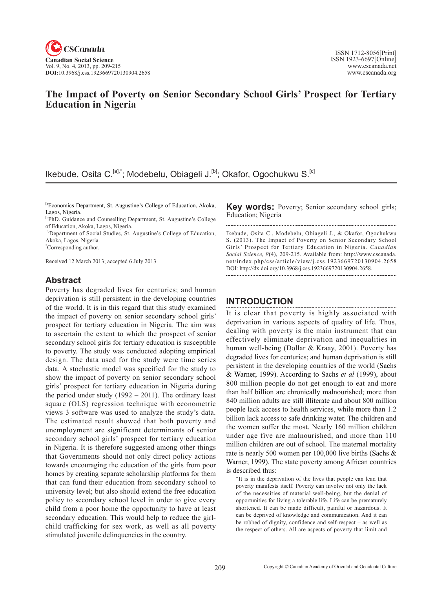# **The Impact of Poverty on Senior Secondary School Girls' Prospect for Tertiary Education in Nigeria**

## Ikebude, Osita C.<sup>[a],\*</sup>; Modebelu, Obiageli J.<sup>[b]</sup>; Okafor, Ogochukwu S.<sup>[c]</sup>

<sup>[a</sup>Economics Department, St. Augustine's College of Education, Akoka, Lagos, Nigeria.

[bPhD. Guidance and Counselling Department, St. Augustine's College of Education, Akoka, Lagos, Nigeria.

<sup>[c</sup>Department of Social Studies, St. Augustine's College of Education, Akoka, Lagos, Nigeria.

\* Corresponding author.

Received 12 March 2013; accepted 6 July 2013

## **Abstract**

Poverty has degraded lives for centuries; and human deprivation is still persistent in the developing countries of the world. It is in this regard that this study examined the impact of poverty on senior secondary school girls' prospect for tertiary education in Nigeria. The aim was to ascertain the extent to which the prospect of senior secondary school girls for tertiary education is susceptible to poverty. The study was conducted adopting empirical design. The data used for the study were time series data. A stochastic model was specified for the study to show the impact of poverty on senior secondary school girls' prospect for tertiary education in Nigeria during the period under study  $(1992 - 2011)$ . The ordinary least square (OLS) regression technique with econometric views 3 software was used to analyze the study's data. The estimated result showed that both poverty and unemployment are significant determinants of senior secondary school girls' prospect for tertiary education in Nigeria. It is therefore suggested among other things that Governments should not only direct policy actions towards encouraging the education of the girls from poor homes by creating separate scholarship platforms for them that can fund their education from secondary school to university level; but also should extend the free education policy to secondary school level in order to give every child from a poor home the opportunity to have at least secondary education. This would help to reduce the girlchild trafficking for sex work, as well as all poverty stimulated juvenile delinquencies in the country.

**Key words:** Poverty; Senior secondary school girls; Education; Nigeria 

Ikebude, Osita C., Modebelu, Obiageli J., & Okafor, Ogochukwu S. (2013). The Impact of Poverty on Senior Secondary School Girls' Prospect for Tertiary Education in Nigeria. *Canadian Social Science*, <sup>9</sup>(4), 209-215. Available from: http://www.cscanada. net/index.php/css/article/view/j.css.1923669720130904.2658 DOI: http://dx.doi.org/10.3968/j.css.1923669720130904.2658.

## **INTRODUCTION**

It is clear that poverty is highly associated with deprivation in various aspects of quality of life. Thus, dealing with poverty is the main instrument that can effectively eliminate deprivation and inequalities in human well-being (Dollar & Kraay, 2001). Poverty has degraded lives for centuries; and human deprivation is still persistent in the developing countries of the world (Sachs & Warner, 1999). According to Sachs *et al* (1999), about 800 million people do not get enough to eat and more than half billion are chronically malnourished; more than 840 million adults are still illiterate and about 800 million people lack access to health services, while more than 1.2 billion lack access to safe drinking water. The children and the women suffer the most. Nearly 160 million children under age five are malnourished, and more than 110 million children are out of school. The maternal mortality rate is nearly 500 women per 100,000 live births (Sachs & Warner, 1999). The state poverty among African countries is described thus:

"It is in the deprivation of the lives that people can lead that poverty manifests itself. Poverty can involve not only the lack of the necessities of material well-being, but the denial of opportunities for living a tolerable life. Life can be prematurely shortened. It can be made difficult, painful or hazardous. It can be deprived of knowledge and communication. And it can be robbed of dignity, confidence and self-respect – as well as the respect of others. All are aspects of poverty that limit and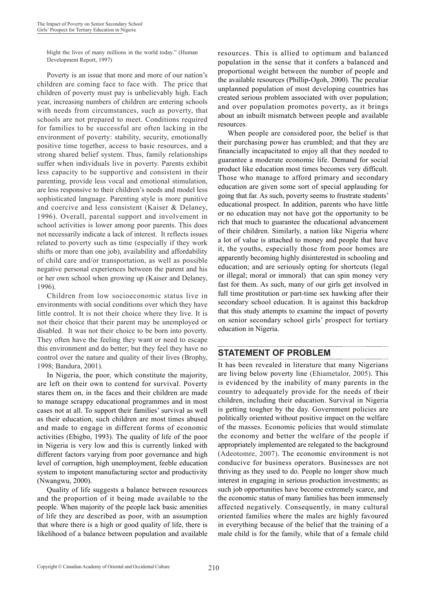blight the lives of many millions in the world today." (Human Development Report, 1997)

Poverty is an issue that more and more of our nation's children are coming face to face with. The price that children of poverty must pay is unbelievably high. Each year, increasing numbers of children are entering schools with needs from circumstances, such as poverty, that schools are not prepared to meet. Conditions required for families to be successful are often lacking in the environment of poverty: stability, security, emotionally positive time together, access to basic resources, and a strong shared belief system. Thus, family relationships suffer when individuals live in poverty. Parents exhibit less capacity to be supportive and consistent in their parenting, provide less vocal and emotional stimulation, are less responsive to their children's needs and model less sophisticated language. Parenting style is more punitive and coercive and less consistent (Kaiser & Delaney, 1996). Overall, parental support and involvement in school activities is lower among poor parents. This does not necessarily indicate a lack of interest. It reflects issues related to poverty such as time (especially if they work shifts or more than one job), availability and affordability of child care and/or transportation, as well as possible negative personal experiences between the parent and his or her own school when growing up (Kaiser and Delaney, 1996).

Children from low socioeconomic status live in environments with social conditions over which they have little control. It is not their choice where they live. It is not their choice that their parent may be unemployed or disabled. It was not their choice to be born into poverty. They often have the feeling they want or need to escape this environment and do better; but they feel they have no control over the nature and quality of their lives (Brophy, 1998; Bandura, 2001).

In Nigeria, the poor, which constitute the majority, are left on their own to contend for survival. Poverty stares them on, in the faces and their children are made to manage scrappy educational programmes and in most cases not at all. To support their families' survival as well as their education, such children are most times abused and made to engage in different forms of economic activities (Ebigbo, 1993). The quality of life of the poor in Nigeria is very low and this is currently linked with different factors varying from poor governance and high level of corruption, high unemployment, feeble education system to impotent manufacturing sector and productivity (Nwangwu, 2000).

Quality of life suggests a balance between resources and the proportion of it being made available to the people. When majority of the people lack basic amenities of life they are described as poor, with an assumption that where there is a high or good quality of life, there is likelihood of a balance between population and available resources. This is allied to optimum and balanced population in the sense that it confers a balanced and proportional weight between the number of people and the available resources (Phillip-Ogoh, 2000). The peculiar unplanned population of most developing countries has created serious problem associated with over population; and over population promotes poverty, as it brings about an inbuilt mismatch between people and available resources.

When people are considered poor, the belief is that their purchasing power has crumbled; and that they are financially incapacitated to enjoy all that they needed to guarantee a moderate economic life. Demand for social product like education most times becomes very difficult. Those who manage to afford primary and secondary education are given some sort of special applauding for going that far. As such, poverty seems to frustrate students' educational prospect. In addition, parents who have little or no education may not have got the opportunity to be rich that much to guarantee the educational advancement of their children. Similarly, a nation like Nigeria where a lot of value is attached to money and people that have it, the youths, especially those from poor homes are apparently becoming highly disinterested in schooling and education; and are seriously opting for shortcuts (legal or illegal; moral or immoral) that can spin money very fast for them. As such, many of our girls get involved in full time prostitution or part-time sex hawking after their secondary school education. It is against this backdrop that this study attempts to examine the impact of poverty on senior secondary school girls' prospect for tertiary education in Nigeria.

## **STATEMENT OF PROBLEM**

It has been revealed in literature that many Nigerians are living below poverty line (Ehiametalor, 2005). This is evidenced by the inability of many parents in the country to adequately provide for the needs of their children, including their education. Survival in Nigeria is getting tougher by the day. Government policies are politically oriented without positive impact on the welfare of the masses. Economic policies that would stimulate the economy and better the welfare of the people if appropriately implemented are relegated to the background (Adeotomre, 2007). The economic environment is not conducive for business operators. Businesses are not thriving as they used to do. People no longer show much interest in engaging in serious production investments; as such job opportunities have become extremely scarce, and the economic status of many families has been immensely affected negatively. Consequently, in many cultural oriented families where the males are highly favoured in everything because of the belief that the training of a male child is for the family, while that of a female child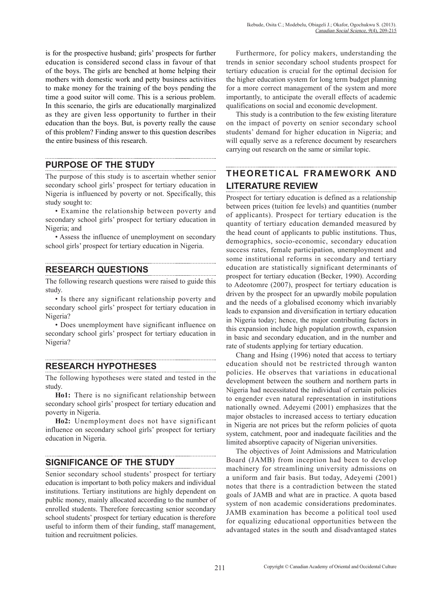is for the prospective husband; girls' prospects for further education is considered second class in favour of that of the boys. The girls are benched at home helping their mothers with domestic work and petty business activities to make money for the training of the boys pending the time a good suitor will come. This is a serious problem. In this scenario, the girls are educationally marginalized as they are given less opportunity to further in their education than the boys. But, is poverty really the cause of this problem? Finding answer to this question describes the entire business of this research.

## **PURPOSE OF THE STUDY**

The purpose of this study is to ascertain whether senior secondary school girls' prospect for tertiary education in Nigeria is influenced by poverty or not. Specifically, this study sought to:

• Examine the relationship between poverty and secondary school girls' prospect for tertiary education in Nigeria; and

• Assess the influence of unemployment on secondary school girls' prospect for tertiary education in Nigeria.

## **RESEARCH QUESTIONS**

The following research questions were raised to guide this study.

• Is there any significant relationship poverty and secondary school girls' prospect for tertiary education in Nigeria?

• Does unemployment have significant influence on secondary school girls' prospect for tertiary education in Nigeria?

## **RESEARCH HYPOTHESES**

The following hypotheses were stated and tested in the study.

**Ho1:** There is no significant relationship between secondary school girls' prospect for tertiary education and poverty in Nigeria.

**Ho2:** Unemployment does not have significant influence on secondary school girls' prospect for tertiary education in Nigeria.

## **SIGNIFICANCE OF THE STUDY**

Senior secondary school students' prospect for tertiary education is important to both policy makers and individual institutions. Tertiary institutions are highly dependent on public money, mainly allocated according to the number of enrolled students. Therefore forecasting senior secondary school students' prospect for tertiary education is therefore useful to inform them of their funding, staff management, tuition and recruitment policies.

Furthermore, for policy makers, understanding the trends in senior secondary school students prospect for tertiary education is crucial for the optimal decision for the higher education system for long term budget planning for a more correct management of the system and more importantly, to anticipate the overall effects of academic qualifications on social and economic development.

This study is a contribution to the few existing literature on the impact of poverty on senior secondary school students' demand for higher education in Nigeria; and will equally serve as a reference document by researchers carrying out research on the same or similar topic.

#### **THEORETICAL FRAMEWORK AND LITERATURE REVIEW**

Prospect for tertiary education is defined as a relationship between prices (tuition fee levels) and quantities (number of applicants). Prospect for tertiary education is the quantity of tertiary education demanded measured by the head count of applicants to public institutions. Thus, demographics, socio-economic, secondary education success rates, female participation, unemployment and some institutional reforms in secondary and tertiary education are statistically significant determinants of prospect for tertiary education (Becker, 1990). According to Adeotomre (2007), prospect for tertiary education is driven by the prospect for an upwardly mobile population and the needs of a globalised economy which invariably leads to expansion and diversification in tertiary education in Nigeria today; hence, the major contributing factors in this expansion include high population growth, expansion in basic and secondary education, and in the number and rate of students applying for tertiary education.

Chang and Hsing (1996) noted that access to tertiary education should not be restricted through wanton policies. He observes that variations in educational development between the southern and northern parts in Nigeria had necessitated the individual of certain policies to engender even natural representation in institutions nationally owned. Adeyemi (2001) emphasizes that the major obstacles to increased access to tertiary education in Nigeria are not prices but the reform policies of quota system, catchment, poor and inadequate facilities and the limited absorptive capacity of Nigerian universities.

The objectives of Joint Admissions and Matriculation Board (JAMB) from inception had been to develop machinery for streamlining university admissions on a uniform and fair basis. But today, Adeyemi (2001) notes that there is a contradiction between the stated goals of JAMB and what are in practice. A quota based system of non academic considerations predominates. JAMB examination has become a political tool used for equalizing educational opportunities between the advantaged states in the south and disadvantaged states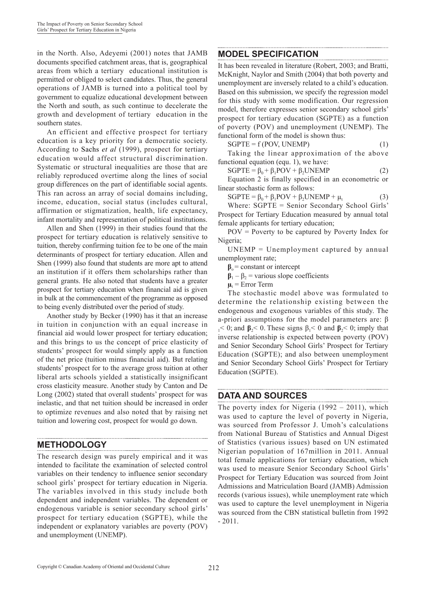in the North. Also, Adeyemi (2001) notes that JAMB documents specified catchment areas, that is, geographical areas from which a tertiary educational institution is permitted or obliged to select candidates. Thus, the general operations of JAMB is turned into a political tool by government to equalize educational development between the North and south, as such continue to decelerate the growth and development of tertiary education in the southern states.

An efficient and effective prospect for tertiary education is a key priority for a democratic society. According to Sachs *et al* (1999), prospect for tertiary education would affect structural discrimination. Systematic or structural inequalities are those that are reliably reproduced overtime along the lines of social group differences on the part of identifiable social agents. This ran across an array of social domains including, income, education, social status (includes cultural, affirmation or stigmatization, health, life expectancy, infant mortality and representation of political institutions.

Allen and Shen (1999) in their studies found that the prospect for tertiary education is relatively sensitive to tuition, thereby confirming tuition fee to be one of the main determinants of prospect for tertiary education. Allen and Shen (1999) also found that students are more apt to attend an institution if it offers them scholarships rather than general grants. He also noted that students have a greater prospect for tertiary education when financial aid is given in bulk at the commencement of the programme as opposed to being evenly distributed over the period of study.

Another study by Becker (1990) has it that an increase in tuition in conjunction with an equal increase in financial aid would lower prospect for tertiary education; and this brings to us the concept of price elasticity of students' prospect for would simply apply as a function of the net price (tuition minus financial aid). But relating students' prospect for to the average gross tuition at other liberal arts schools yielded a statistically insignificant cross elasticity measure. Another study by Canton and De Long (2002) stated that overall students' prospect for was inelastic, and that net tuition should be increased in order to optimize revenues and also noted that by raising net tuition and lowering cost, prospect for would go down.

## **METHODOLOGY**

The research design was purely empirical and it was intended to facilitate the examination of selected control variables on their tendency to influence senior secondary school girls' prospect for tertiary education in Nigeria. The variables involved in this study include both dependent and independent variables. The dependent or endogenous variable is senior secondary school girls' prospect for tertiary education (SGPTE), while the independent or explanatory variables are poverty (POV) and unemployment (UNEMP).

#### **MODEL SPECIFICATION**

It has been revealed in literature (Robert, 2003; and Bratti, McKnight, Naylor and Smith (2004) that both poverty and unemployment are inversely related to a child's education. Based on this submission, we specify the regression model for this study with some modification. Our regression model, therefore expresses senior secondary school girls' prospect for tertiary education (SGPTE) as a function of poverty (POV) and unemployment (UNEMP). The functional form of the model is shown thus:

 $SGPTE = f (POV, UNEMP)$  (1)

Taking the linear approximation of the above functional equation (equ. 1), we have:

$$
SGPTE = \beta_0 + \beta_1 POV + \beta_2 UNEMP \qquad (2)
$$

Equation 2 is finally specified in an econometric or linear stochastic form as follows:

 $SGPTE = \beta_0 + \beta_1 POV + \beta_2 UNEMP + \mu_t$  (3)

Where: SGPTE = Senior Secondary School Girls' Prospect for Tertiary Education measured by annual total female applicants for tertiary education;

POV = Poverty to be captured by Poverty Index for Nigeria;

UNEMP = Unemployment captured by annual unemployment rate;

 $\beta_0$  = constant or intercept

 $\beta_1 - \beta_2$  = various slope coefficients

 $\mu_t$  = Error Term

The stochastic model above was formulated to determine the relationship existing between the endogenous and exogenous variables of this study. The a-priori assumptions for the model parameters are: β  $1<sub>1</sub> < 0$ ; and  $\beta<sub>2</sub> < 0$ . These signs  $\beta<sub>1</sub> < 0$  and  $\beta<sub>2</sub> < 0$ ; imply that inverse relationship is expected between poverty (POV) and Senior Secondary School Girls' Prospect for Tertiary Education (SGPTE); and also between unemployment and Senior Secondary School Girls' Prospect for Tertiary Education (SGPTE).

## **DATA AND SOURCES**

The poverty index for Nigeria (1992 – 2011), which was used to capture the level of poverty in Nigeria, was sourced from Professor J. Umoh's calculations from National Bureau of Statistics and Annual Digest of Statistics (various issues) based on UN estimated Nigerian population of 167million in 2011. Annual total female applications for tertiary education, which was used to measure Senior Secondary School Girls' Prospect for Tertiary Education was sourced from Joint Admissions and Matriculation Board (JAMB) Admission records (various issues), while unemployment rate which was used to capture the level unemployment in Nigeria was sourced from the CBN statistical bulletin from 1992  $-2011.$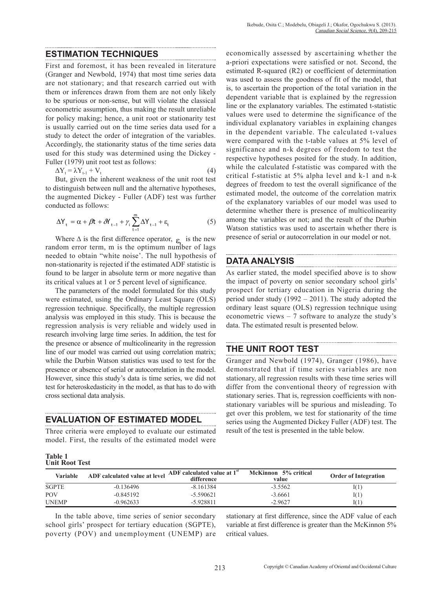#### **ESTIMATION TECHNIQUES**

First and foremost, it has been revealed in literature (Granger and Newbold, 1974) that most time series data are not stationary; and that research carried out with them or inferences drawn from them are not only likely to be spurious or non-sense, but will violate the classical econometric assumption, thus making the result unreliable for policy making; hence, a unit root or stationarity test is usually carried out on the time series data used for a study to detect the order of integration of the variables. Accordingly, the stationarity status of the time series data used for this study was determined using the Dickey - Fuller (1979) unit root test as follows:

$$
\Delta Y_{t} = \lambda Y_{t-1} + V_{t} \tag{4}
$$

But, given the inherent weakness of the unit root test to distinguish between null and the alternative hypotheses, the augmented Dickey - Fuller (ADF) test was further conducted as follows:

$$
\Delta Y_{t} = \alpha + \beta t + \delta Y_{t-1} + \gamma_{i} \sum_{t=1}^{m} \Delta Y_{t-1} + \varepsilon_{t}
$$
 (5)

Where  $\Delta$  is the first difference operator,  $\epsilon$  is the new random error term, m is the optimum number of lags needed to obtain "white noise'. The null hypothesis of non-stationarity is rejected if the estimated ADF statistic is found to be larger in absolute term or more negative than its critical values at 1 or 5 percent level of significance.

The parameters of the model formulated for this study were estimated, using the Ordinary Least Square (OLS) regression technique. Specifically, the multiple regression analysis was employed in this study. This is because the regression analysis is very reliable and widely used in research involving large time series. In addition, the test for the presence or absence of multicolinearity in the regression line of our model was carried out using correlation matrix; while the Durbin Watson statistics was used to test for the presence or absence of serial or autocorrelation in the model. However, since this study's data is time series, we did not test for heteroskedasticity in the model, as that has to do with cross sectional data analysis.

#### **EVALUATION OF ESTIMATED MODEL**

Three criteria were employed to evaluate our estimated model. First, the results of the estimated model were economically assessed by ascertaining whether the a-priori expectations were satisfied or not. Second, the estimated R-squared (R2) or coefficient of determination was used to assess the goodness of fit of the model, that is, to ascertain the proportion of the total variation in the dependent variable that is explained by the regression line or the explanatory variables. The estimated t-statistic values were used to determine the significance of the individual explanatory variables in explaining changes in the dependent variable. The calculated t-values were compared with the t-table values at 5% level of significance and n-k degrees of freedom to test the respective hypotheses posited for the study. In addition, while the calculated f-statistic was compared with the critical f-statistic at 5% alpha level and k-1 and n-k degrees of freedom to test the overall significance of the estimated model, the outcome of the correlation matrix of the explanatory variables of our model was used to determine whether there is presence of multicolinearity among the variables or not; and the result of the Durbin Watson statistics was used to ascertain whether there is presence of serial or autocorrelation in our model or not.

## **DATA ANALYSIS**

As earlier stated, the model specified above is to show the impact of poverty on senior secondary school girls' prospect for tertiary education in Nigeria during the period under study (1992 – 2011). The study adopted the ordinary least square (OLS) regression technique using econometric views – 7 software to analyze the study's data. The estimated result is presented below.

## **THE UNIT ROOT TEST**

Granger and Newbold (1974), Granger (1986), have demonstrated that if time series variables are non stationary, all regression results with these time series will differ from the conventional theory of regression with stationary series. That is, regression coefficients with nonstationary variables will be spurious and misleading. To get over this problem, we test for stationarity of the time series using the Augmented Dickey Fuller (ADF) test. The result of the test is presented in the table below.

| <b>Table 1</b> |                       |  |
|----------------|-----------------------|--|
|                | <b>Unit Root Test</b> |  |

| Variable     | ADF calculated value at level | ADF calculated value at 1 <sup>st</sup><br>difference | McKinnon 5% critical<br>value | <b>Order of Integration</b> |
|--------------|-------------------------------|-------------------------------------------------------|-------------------------------|-----------------------------|
| <b>SGPTE</b> | $-0.136496$                   | $-8.161384$                                           | $-3.5562$                     | I(1)                        |
| <b>POV</b>   | $-0.845192$                   | $-5.590621$                                           | $-3.6661$                     | I(1)                        |
| <b>UNEMP</b> | $-0.962633$                   | $-5.928811$                                           | $-2.9627$                     | 01                          |

In the table above, time series of senior secondary school girls' prospect for tertiary education (SGPTE), poverty (POV) and unemployment (UNEMP) are stationary at first difference, since the ADF value of each variable at first difference is greater than the McKinnon 5% critical values.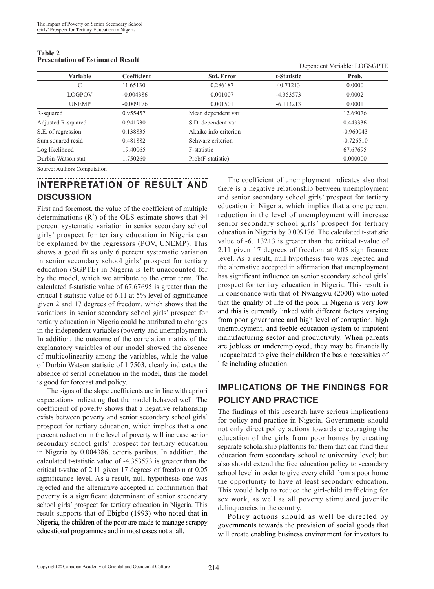| Variable           | Coefficient | <b>Std. Error</b>     | t-Statistic | Prob.       |  |
|--------------------|-------------|-----------------------|-------------|-------------|--|
| C                  | 11.65130    | 0.286187              | 40.71213    | 0.0000      |  |
| <b>LOGPOV</b>      | $-0.004386$ | 0.001007              | $-4.353573$ | 0.0002      |  |
| <b>UNEMP</b>       | $-0.009176$ | 0.001501              | $-6.113213$ | 0.0001      |  |
| R-squared          | 0.955457    | Mean dependent var    |             | 12.69076    |  |
| Adjusted R-squared | 0.941930    | S.D. dependent var    |             | 0.443336    |  |
| S.E. of regression | 0.138835    | Akaike info criterion |             | $-0.960043$ |  |
| Sum squared resid  | 0.481882    | Schwarz criterion     |             | $-0.726510$ |  |
| Log likelihood     | 19.40065    | F-statistic           |             | 67.67695    |  |
| Durbin-Watson stat | 1.750260    | Prob(F-statistic)     |             | 0.000000    |  |
|                    |             |                       |             |             |  |

**Table 2 Presentation of Estimated Result**

Dependent Variable: LOGSGPTE

Source: Authors Computation

# **INTERPRETATION OF RESULT AND DISCUSSION**

First and foremost, the value of the coefficient of multiple determinations  $(R^2)$  of the OLS estimate shows that 94 percent systematic variation in senior secondary school girls' prospect for tertiary education in Nigeria can be explained by the regressors (POV, UNEMP). This shows a good fit as only 6 percent systematic variation in senior secondary school girls' prospect for tertiary education (SGPTE) in Nigeria is left unaccounted for by the model, which we attribute to the error term. The calculated f-statistic value of 67.67695 is greater than the critical f-statistic value of 6.11 at 5% level of significance given 2 and 17 degrees of freedom, which shows that the variations in senior secondary school girls' prospect for tertiary education in Nigeria could be attributed to changes in the independent variables (poverty and unemployment). In addition, the outcome of the correlation matrix of the explanatory variables of our model showed the absence of multicolinearity among the variables, while the value of Durbin Watson statistic of 1.7503, clearly indicates the absence of serial correlation in the model, thus the model is good for forecast and policy.

The signs of the slope coefficients are in line with apriori expectations indicating that the model behaved well. The coefficient of poverty shows that a negative relationship exists between poverty and senior secondary school girls' prospect for tertiary education, which implies that a one percent reduction in the level of poverty will increase senior secondary school girls' prospect for tertiary education in Nigeria by 0.004386, ceteris paribus. In addition, the calculated t-statistic value of -4.353573 is greater than the critical t-value of 2.11 given 17 degrees of freedom at 0.05 significance level. As a result, null hypothesis one was rejected and the alternative accepted in confirmation that poverty is a significant determinant of senior secondary school girls' prospect for tertiary education in Nigeria. This result supports that of Ebigbo (1993) who noted that in Nigeria, the children of the poor are made to manage scrappy educational programmes and in most cases not at all.

The coefficient of unemployment indicates also that there is a negative relationship between unemployment and senior secondary school girls' prospect for tertiary education in Nigeria, which implies that a one percent reduction in the level of unemployment will increase senior secondary school girls' prospect for tertiary education in Nigeria by 0.009176. The calculated t-statistic value of -6.113213 is greater than the critical t-value of 2.11 given 17 degrees of freedom at 0.05 significance level. As a result, null hypothesis two was rejected and the alternative accepted in affirmation that unemployment has significant influence on senior secondary school girls' prospect for tertiary education in Nigeria. This result is in consonance with that of Nwangwu (2000) who noted that the quality of life of the poor in Nigeria is very low and this is currently linked with different factors varying from poor governance and high level of corruption, high unemployment, and feeble education system to impotent manufacturing sector and productivity. When parents are jobless or underemployed, they may be financially incapacitated to give their children the basic necessities of life including education.

#### **IMPLICATIONS OF THE FINDINGS FOR POLICY AND PRACTICE**

The findings of this research have serious implications for policy and practice in Nigeria. Governments should not only direct policy actions towards encouraging the education of the girls from poor homes by creating separate scholarship platforms for them that can fund their education from secondary school to university level; but also should extend the free education policy to secondary school level in order to give every child from a poor home the opportunity to have at least secondary education. This would help to reduce the girl-child trafficking for sex work, as well as all poverty stimulated juvenile delinquencies in the country.

Policy actions should as well be directed by governments towards the provision of social goods that will create enabling business environment for investors to